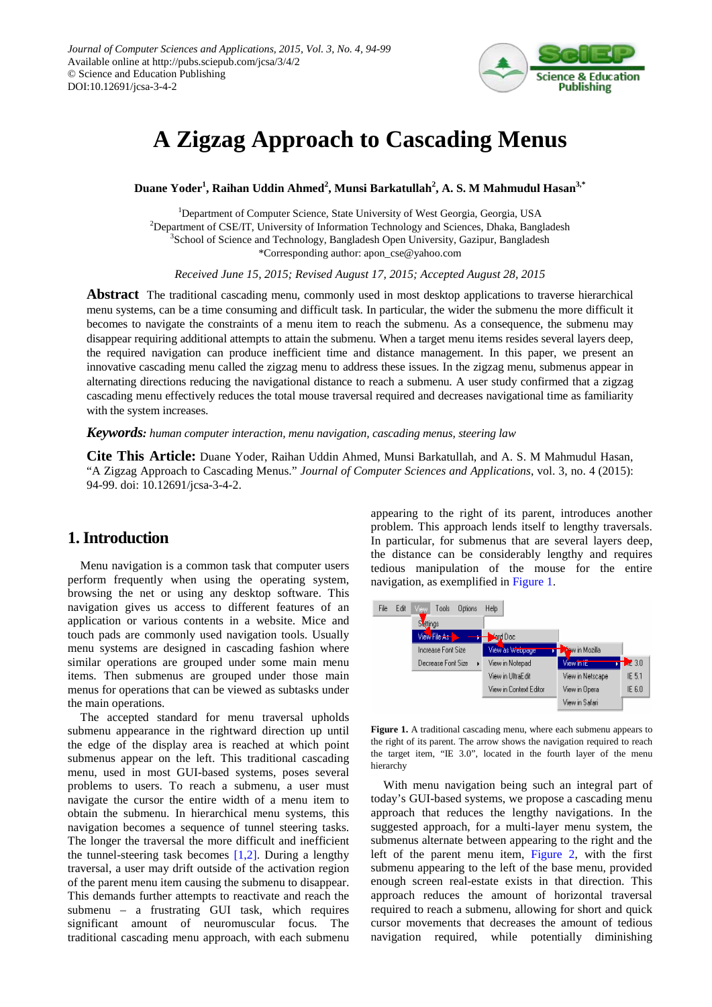

# **A Zigzag Approach to Cascading Menus**

**Duane Yoder<sup>1</sup> , Raihan Uddin Ahmed<sup>2</sup> , Munsi Barkatullah2 , A. S. M Mahmudul Hasan3,\***

<sup>1</sup>Department of Computer Science, State University of West Georgia, Georgia, USA <sup>2</sup>Department of CSE/IT, University of Information Technology and Sciences, Dhaka, Bangladesh <sup>3</sup>School of Science and Technology, Bangladesh Open University, Gazipur, Bangladesh \*Corresponding author: apon\_cse@yahoo.com

*Received June 15, 2015; Revised August 17, 2015; Accepted August 28, 2015*

**Abstract** The traditional cascading menu, commonly used in most desktop applications to traverse hierarchical menu systems, can be a time consuming and difficult task. In particular, the wider the submenu the more difficult it becomes to navigate the constraints of a menu item to reach the submenu. As a consequence, the submenu may disappear requiring additional attempts to attain the submenu. When a target menu items resides several layers deep, the required navigation can produce inefficient time and distance management. In this paper, we present an innovative cascading menu called the zigzag menu to address these issues. In the zigzag menu, submenus appear in alternating directions reducing the navigational distance to reach a submenu. A user study confirmed that a zigzag cascading menu effectively reduces the total mouse traversal required and decreases navigational time as familiarity with the system increases.

*Keywords: human computer interaction, menu navigation, cascading menus, steering law*

**Cite This Article:** Duane Yoder, Raihan Uddin Ahmed, Munsi Barkatullah, and A. S. M Mahmudul Hasan, "A Zigzag Approach to Cascading Menus." *Journal of Computer Sciences and Applications*, vol. 3, no. 4 (2015): 94-99. doi: 10.12691/jcsa-3-4-2.

# **1. Introduction**

Menu navigation is a common task that computer users perform frequently when using the operating system, browsing the net or using any desktop software. This navigation gives us access to different features of an application or various contents in a website. Mice and touch pads are commonly used navigation tools. Usually menu systems are designed in cascading fashion where similar operations are grouped under some main menu items. Then submenus are grouped under those main menus for operations that can be viewed as subtasks under the main operations.

The accepted standard for menu traversal upholds submenu appearance in the rightward direction up until the edge of the display area is reached at which point submenus appear on the left. This traditional cascading menu, used in most GUI-based systems, poses several problems to users. To reach a submenu, a user must navigate the cursor the entire width of a menu item to obtain the submenu. In hierarchical menu systems, this navigation becomes a sequence of tunnel steering tasks. The longer the traversal the more difficult and inefficient the tunnel-steering task becomes  $[1,2]$ . During a lengthy traversal, a user may drift outside of the activation region of the parent menu item causing the submenu to disappear. This demands further attempts to reactivate and reach the submenu – a frustrating GUI task, which requires significant amount of neuromuscular focus. The traditional cascading menu approach, with each submenu appearing to the right of its parent, introduces another problem. This approach lends itself to lengthy traversals. In particular, for submenus that are several layers deep, the distance can be considerably lengthy and requires tedious manipulation of the mouse for the entire navigation, as exemplified in [Figure 1.](#page-0-0)

<span id="page-0-0"></span>

**Figure 1.** A traditional cascading menu, where each submenu appears to the right of its parent. The arrow shows the navigation required to reach the target item, "IE 3.0", located in the fourth layer of the menu hierarchy

With menu navigation being such an integral part of today's GUI-based systems, we propose a cascading menu approach that reduces the lengthy navigations. In the suggested approach, for a multi-layer menu system, the submenus alternate between appearing to the right and the left of the parent menu item, [Figure 2,](#page-1-0) with the first submenu appearing to the left of the base menu, provided enough screen real-estate exists in that direction. This approach reduces the amount of horizontal traversal required to reach a submenu, allowing for short and quick cursor movements that decreases the amount of tedious navigation required, while potentially diminishing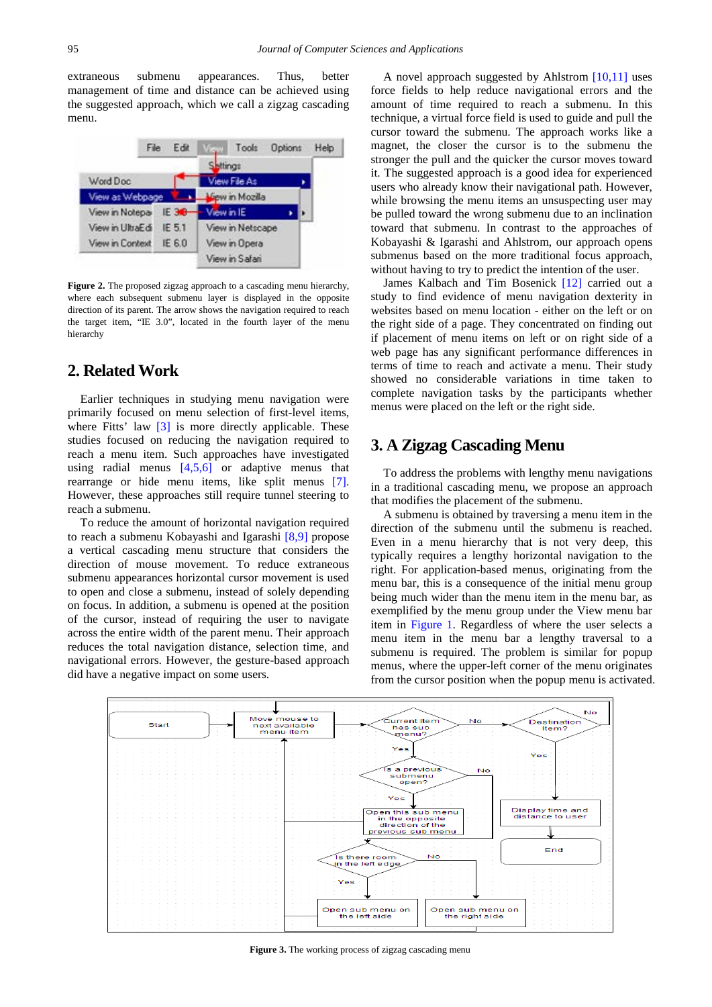extraneous submenu appearances. Thus, better management of time and distance can be achieved using the suggested approach, which we call a zigzag cascading menu.

<span id="page-1-0"></span>

**Figure 2.** The proposed zigzag approach to a cascading menu hierarchy, where each subsequent submenu layer is displayed in the opposite direction of its parent. The arrow shows the navigation required to reach the target item, "IE 3.0", located in the fourth layer of the menu hierarchy

## **2. Related Work**

Earlier techniques in studying menu navigation were primarily focused on menu selection of first-level items, where Fitts' law [\[3\]](#page-5-1) is more directly applicable. These studies focused on reducing the navigation required to reach a menu item. Such approaches have investigated using radial menus [\[4,5,6\]](#page-5-2) or adaptive menus that rearrange or hide menu items, like split menus [\[7\].](#page-5-3) However, these approaches still require tunnel steering to reach a submenu.

To reduce the amount of horizontal navigation required to reach a submenu Kobayashi and Igarashi [\[8,9\]](#page-5-4) propose a vertical cascading menu structure that considers the direction of mouse movement. To reduce extraneous submenu appearances horizontal cursor movement is used to open and close a submenu, instead of solely depending on focus. In addition, a submenu is opened at the position of the cursor, instead of requiring the user to navigate across the entire width of the parent menu. Their approach reduces the total navigation distance, selection time, and navigational errors. However, the gesture-based approach did have a negative impact on some users.

A novel approach suggested by Ahlstrom [\[10,11\]](#page-5-5) uses force fields to help reduce navigational errors and the amount of time required to reach a submenu. In this technique, a virtual force field is used to guide and pull the cursor toward the submenu. The approach works like a magnet, the closer the cursor is to the submenu the stronger the pull and the quicker the cursor moves toward it. The suggested approach is a good idea for experienced users who already know their navigational path. However, while browsing the menu items an unsuspecting user may be pulled toward the wrong submenu due to an inclination toward that submenu. In contrast to the approaches of Kobayashi & Igarashi and Ahlstrom, our approach opens submenus based on the more traditional focus approach, without having to try to predict the intention of the user.

James Kalbach and Tim Bosenick [\[12\]](#page-5-6) carried out a study to find evidence of menu navigation dexterity in websites based on menu location - either on the left or on the right side of a page. They concentrated on finding out if placement of menu items on left or on right side of a web page has any significant performance differences in terms of time to reach and activate a menu. Their study showed no considerable variations in time taken to complete navigation tasks by the participants whether menus were placed on the left or the right side.

# **3. A Zigzag Cascading Menu**

To address the problems with lengthy menu navigations in a traditional cascading menu, we propose an approach that modifies the placement of the submenu.

A submenu is obtained by traversing a menu item in the direction of the submenu until the submenu is reached. Even in a menu hierarchy that is not very deep, this typically requires a lengthy horizontal navigation to the right. For application-based menus, originating from the menu bar, this is a consequence of the initial menu group being much wider than the menu item in the menu bar, as exemplified by the menu group under the View menu bar item in [Figure 1.](#page-0-0) Regardless of where the user selects a menu item in the menu bar a lengthy traversal to a submenu is required. The problem is similar for popup menus, where the upper-left corner of the menu originates from the cursor position when the popup menu is activated.



Figure 3. The working process of zigzag cascading menu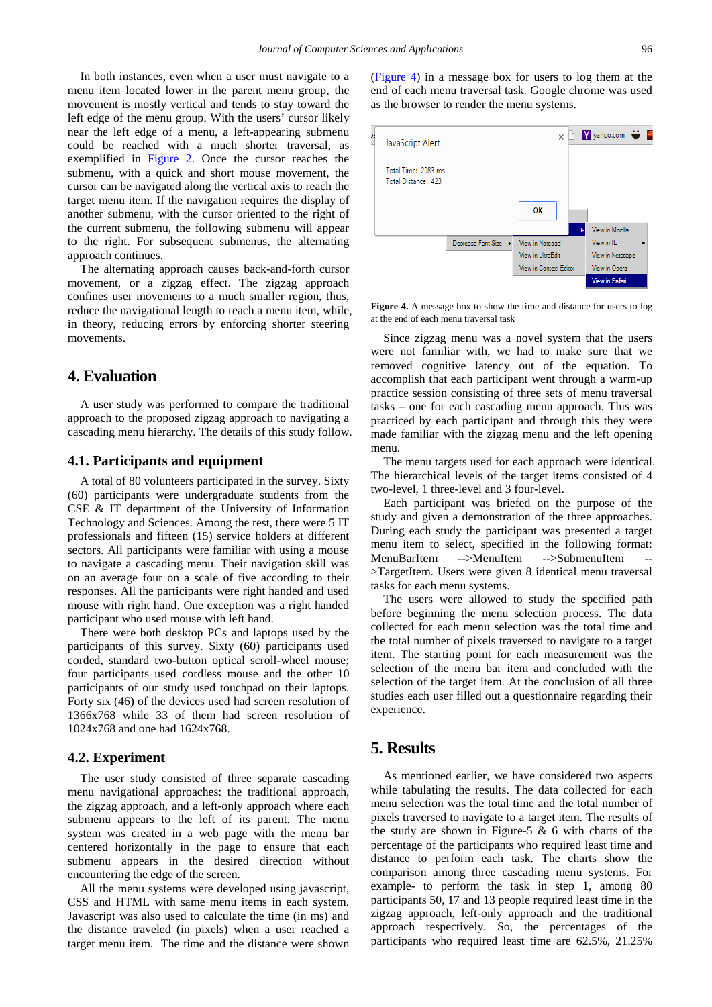In both instances, even when a user must navigate to a menu item located lower in the parent menu group, the movement is mostly vertical and tends to stay toward the left edge of the menu group. With the users' cursor likely near the left edge of a menu, a left-appearing submenu could be reached with a much shorter traversal, as exemplified in [Figure 2.](#page-1-0) Once the cursor reaches the submenu, with a quick and short mouse movement, the cursor can be navigated along the vertical axis to reach the target menu item. If the navigation requires the display of another submenu, with the cursor oriented to the right of the current submenu, the following submenu will appear to the right. For subsequent submenus, the alternating approach continues.

The alternating approach causes back-and-forth cursor movement, or a zigzag effect. The zigzag approach confines user movements to a much smaller region, thus, reduce the navigational length to reach a menu item, while, in theory, reducing errors by enforcing shorter steering movements.

## **4. Evaluation**

A user study was performed to compare the traditional approach to the proposed zigzag approach to navigating a cascading menu hierarchy. The details of this study follow.

#### **4.1. Participants and equipment**

A total of 80 volunteers participated in the survey. Sixty (60) participants were undergraduate students from the CSE & IT department of the University of Information Technology and Sciences. Among the rest, there were 5 IT professionals and fifteen (15) service holders at different sectors. All participants were familiar with using a mouse to navigate a cascading menu. Their navigation skill was on an average four on a scale of five according to their responses. All the participants were right handed and used mouse with right hand. One exception was a right handed participant who used mouse with left hand.

There were both desktop PCs and laptops used by the participants of this survey. Sixty (60) participants used corded, standard two-button optical scroll-wheel mouse; four participants used cordless mouse and the other 10 participants of our study used touchpad on their laptops. Forty six (46) of the devices used had screen resolution of 1366x768 while 33 of them had screen resolution of 1024x768 and one had 1624x768.

#### **4.2. Experiment**

The user study consisted of three separate cascading menu navigational approaches: the traditional approach, the zigzag approach, and a left-only approach where each submenu appears to the left of its parent. The menu system was created in a web page with the menu bar centered horizontally in the page to ensure that each submenu appears in the desired direction without encountering the edge of the screen.

All the menu systems were developed using javascript, CSS and HTML with same menu items in each system. Javascript was also used to calculate the time (in ms) and the distance traveled (in pixels) when a user reached a target menu item. The time and the distance were shown [\(Figure 4\)](#page-2-0) in a message box for users to log them at the end of each menu traversal task. Google chrome was used as the browser to render the menu systems.

<span id="page-2-0"></span>

**Figure 4.** A message box to show the time and distance for users to log at the end of each menu traversal task

Since zigzag menu was a novel system that the users were not familiar with, we had to make sure that we removed cognitive latency out of the equation. To accomplish that each participant went through a warm-up practice session consisting of three sets of menu traversal tasks – one for each cascading menu approach. This was practiced by each participant and through this they were made familiar with the zigzag menu and the left opening menu.

The menu targets used for each approach were identical. The hierarchical levels of the target items consisted of 4 two-level, 1 three-level and 3 four-level.

Each participant was briefed on the purpose of the study and given a demonstration of the three approaches. During each study the participant was presented a target menu item to select, specified in the following format: MenuBarItem -->MenuItem -->SubmenuItem -- >TargetItem. Users were given 8 identical menu traversal tasks for each menu systems.

The users were allowed to study the specified path before beginning the menu selection process. The data collected for each menu selection was the total time and the total number of pixels traversed to navigate to a target item. The starting point for each measurement was the selection of the menu bar item and concluded with the selection of the target item. At the conclusion of all three studies each user filled out a questionnaire regarding their experience.

## **5. Results**

As mentioned earlier, we have considered two aspects while tabulating the results. The data collected for each menu selection was the total time and the total number of pixels traversed to navigate to a target item. The results of the study are shown in Figure-5  $\&$  6 with charts of the percentage of the participants who required least time and distance to perform each task. The charts show the comparison among three cascading menu systems. For example- to perform the task in step 1, among 80 participants 50, 17 and 13 people required least time in the zigzag approach, left-only approach and the traditional approach respectively. So, the percentages of the participants who required least time are 62.5%, 21.25%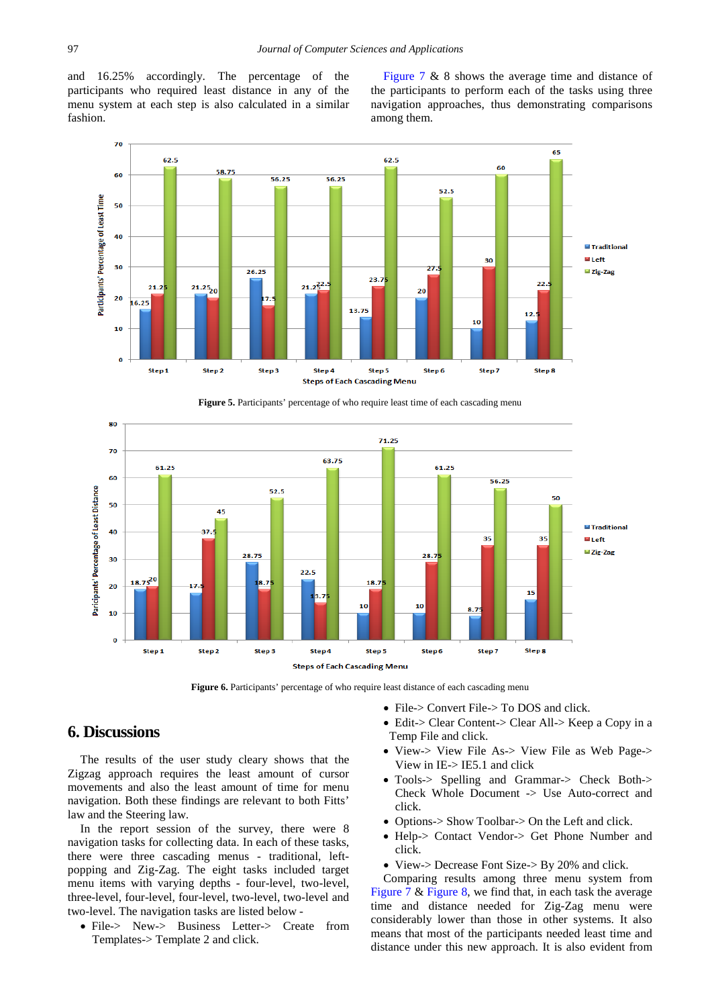and 16.25% accordingly. The percentage of the participants who required least distance in any of the menu system at each step is also calculated in a similar fashion.

[Figure 7](#page-4-0) & 8 shows the average time and distance of the participants to perform each of the tasks using three navigation approaches, thus demonstrating comparisons among them.



**Figure 5.** Participants' percentage of who require least time of each cascading menu



**Figure 6.** Participants' percentage of who require least distance of each cascading menu

# **6. Discussions**

The results of the user study cleary shows that the Zigzag approach requires the least amount of cursor movements and also the least amount of time for menu navigation. Both these findings are relevant to both Fitts' law and the Steering law.

In the report session of the survey, there were 8 navigation tasks for collecting data. In each of these tasks, there were three cascading menus - traditional, leftpopping and Zig-Zag. The eight tasks included target menu items with varying depths - four-level, two-level, three-level, four-level, four-level, two-level, two-level and two-level. The navigation tasks are listed below -

• File-> New-> Business Letter-> Create from Templates-> Template 2 and click.

- File-> Convert File-> To DOS and click.
	- Edit-> Clear Content-> Clear All-> Keep a Copy in a Temp File and click.
	- View-> View File As-> View File as Web Page-> View in IE-> IE5.1 and click
	- Tools-> Spelling and Grammar-> Check Both-> Check Whole Document -> Use Auto-correct and click.
	- Options-> Show Toolbar-> On the Left and click.
	- Help-> Contact Vendor-> Get Phone Number and click.
	- View-> Decrease Font Size-> By 20% and click.

Comparing results among three menu system from [Figure 7](#page-4-0) & [Figure 8,](#page-4-1) we find that, in each task the average time and distance needed for Zig-Zag menu were considerably lower than those in other systems. It also means that most of the participants needed least time and distance under this new approach. It is also evident from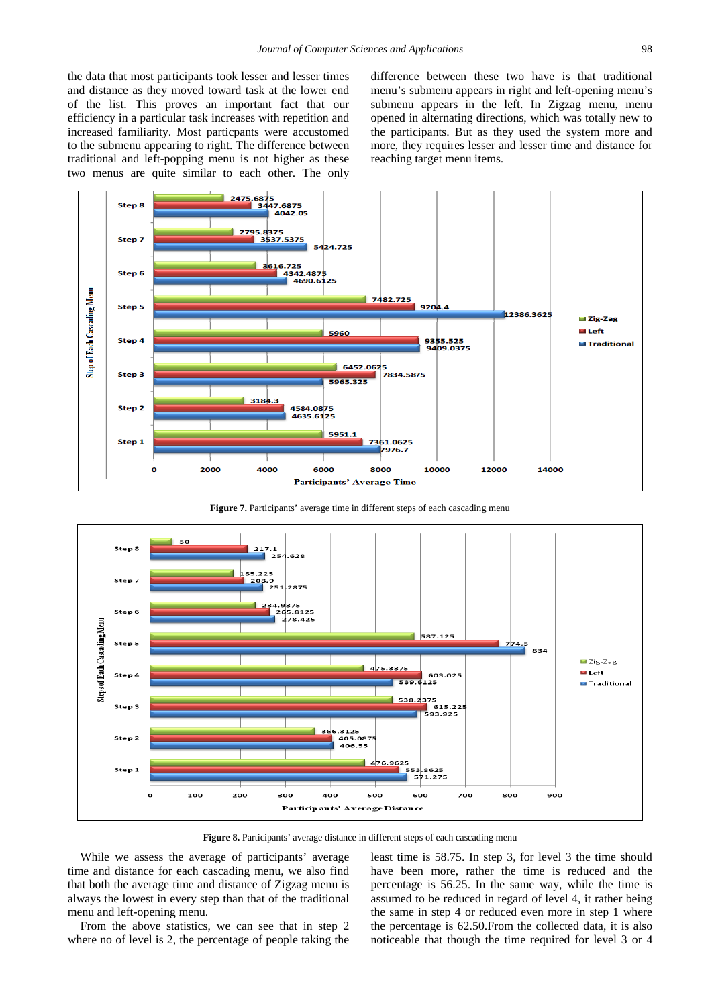the data that most participants took lesser and lesser times and distance as they moved toward task at the lower end of the list. This proves an important fact that our efficiency in a particular task increases with repetition and increased familiarity. Most particpants were accustomed to the submenu appearing to right. The difference between traditional and left-popping menu is not higher as these two menus are quite similar to each other. The only difference between these two have is that traditional menu's submenu appears in right and left-opening menu's submenu appears in the left. In Zigzag menu, menu opened in alternating directions, which was totally new to the participants. But as they used the system more and more, they requires lesser and lesser time and distance for reaching target menu items.

<span id="page-4-0"></span>

Figure 7. Participants' average time in different steps of each cascading menu

<span id="page-4-1"></span>

Figure 8. Participants' average distance in different steps of each cascading menu

While we assess the average of participants' average time and distance for each cascading menu, we also find that both the average time and distance of Zigzag menu is always the lowest in every step than that of the traditional menu and left-opening menu.

From the above statistics, we can see that in step 2 where no of level is 2, the percentage of people taking the least time is 58.75. In step 3, for level 3 the time should have been more, rather the time is reduced and the percentage is 56.25. In the same way, while the time is assumed to be reduced in regard of level 4, it rather being the same in step 4 or reduced even more in step 1 where the percentage is 62.50.From the collected data, it is also noticeable that though the time required for level 3 or 4